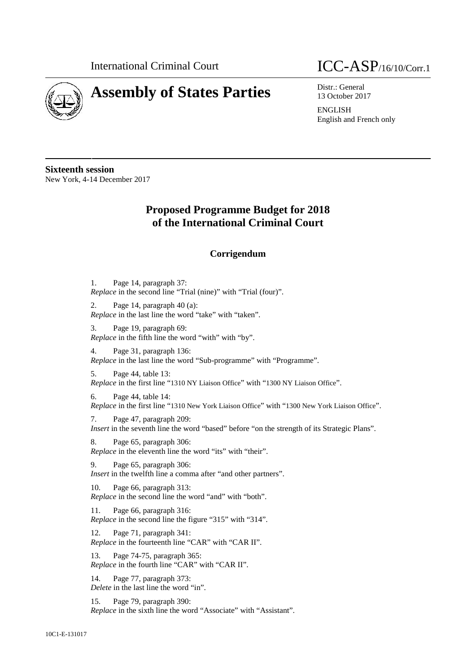

## **Assembly of States Parties** Distr.: General



13 October 2017

ENGLISH English and French only

**Sixteenth session** New York, 4-14 December 2017

## **Proposed Programme Budget for 2018 of the International Criminal Court**

## **Corrigendum**

1. Page 14, paragraph 37: *Replace* in the second line "Trial (nine)" with "Trial (four)". 2. Page 14, paragraph 40 (a): *Replace* in the last line the word "take" with "taken".

3. Page 19, paragraph 69: *Replace* in the fifth line the word "with" with "by".

4. Page 31, paragraph 136: *Replace* in the last line the word "Sub-programme" with "Programme".

5. Page 44, table 13: *Replace* in the first line "1310 NY Liaison Office" with "1300 NY Liaison Office".

6. Page 44, table 14: *Replace* in the first line "1310 New York Liaison Office" with "1300 New York Liaison Office".

7. Page 47, paragraph 209: *Insert* in the seventh line the word "based" before "on the strength of its Strategic Plans".

8. Page 65, paragraph 306: *Replace* in the eleventh line the word "its" with "their".

9. Page 65, paragraph 306: *Insert* in the twelfth line a comma after "and other partners".

10. Page 66, paragraph 313: *Replace* in the second line the word "and" with "both".

11. Page 66, paragraph 316: *Replace* in the second line the figure "315" with "314".

12. Page 71, paragraph 341: *Replace* in the fourteenth line "CAR" with "CAR II".

13. Page 74-75, paragraph 365: *Replace* in the fourth line "CAR" with "CAR II".

14. Page 77, paragraph 373: *Delete* in the last line the word "in".

15. Page 79, paragraph 390: *Replace* in the sixth line the word "Associate" with "Assistant".